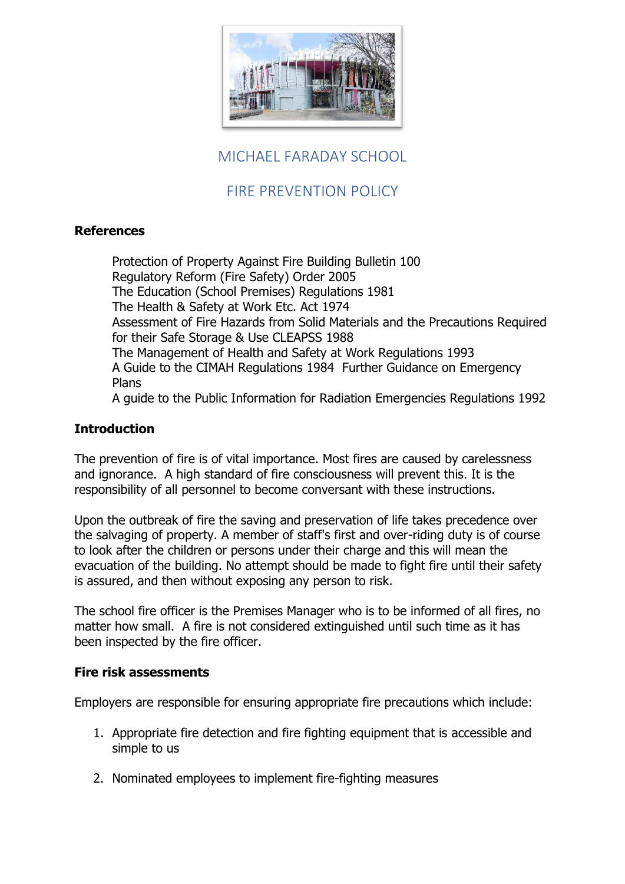

# MICHAEL FARADAY SCHOOL

# FIRE PREVENTION POLICY

## **References**

Protection of Property Against Fire Building Bulletin 100 Regulatory Reform (Fire Safety) Order 2005 The Education (School Premises) Regulations 1981 The Health & Safety at Work Etc. Act 1974 Assessment of Fire Hazards from Solid Materials and the Precautions Required for their Safe Storage & Use CLEAPSS 1988 The Management of Health and Safety at Work Regulations 1993 A Guide to the CIMAH Regulations 1984 Further Guidance on Emergency Plans A guide to the Public Information for Radiation Emergencies Regulations 1992

## **Introduction**

The prevention of fire is of vital importance. Most fires are caused by carelessness and ignorance. A high standard of fire consciousness will prevent this. It is the responsibility of all personnel to become conversant with these instructions.

Upon the outbreak of fire the saving and preservation of life takes precedence over the salvaging of property. A member of staff's first and over-riding duty is of course to look after the children or persons under their charge and this will mean the evacuation of the building. No attempt should be made to fight fire until their safety is assured, and then without exposing any person to risk.

The school fire officer is the Premises Manager who is to be informed of all fires, no matter how small. A fire is not considered extinguished until such time as it has been inspected by the fire officer.

#### **Fire risk assessments**

Employers are responsible for ensuring appropriate fire precautions which include:

- 1. Appropriate fire detection and fire fighting equipment that is accessible and simple to us
- 2. Nominated employees to implement fire-fighting measures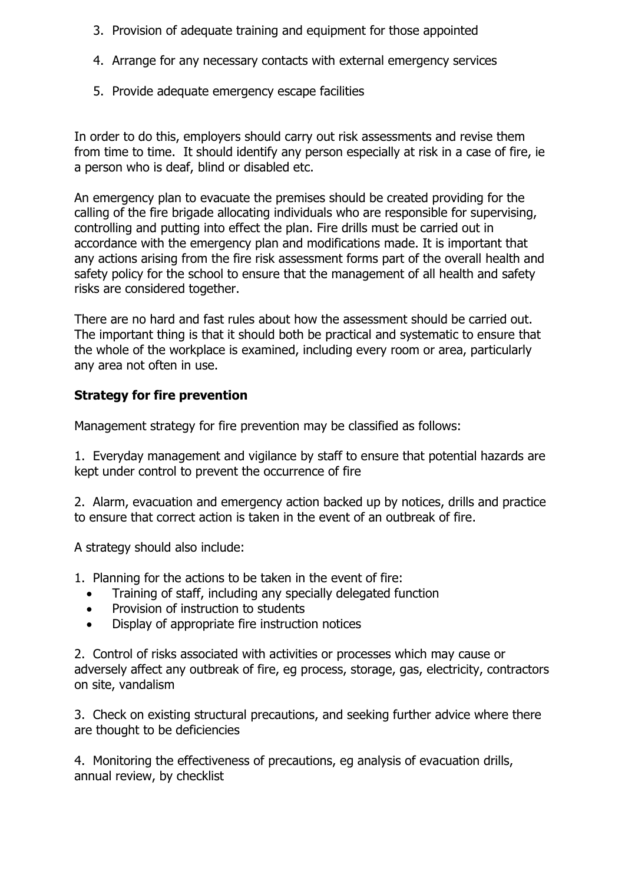- 3. Provision of adequate training and equipment for those appointed
- 4. Arrange for any necessary contacts with external emergency services
- 5. Provide adequate emergency escape facilities

In order to do this, employers should carry out risk assessments and revise them from time to time. It should identify any person especially at risk in a case of fire, ie a person who is deaf, blind or disabled etc.

An emergency plan to evacuate the premises should be created providing for the calling of the fire brigade allocating individuals who are responsible for supervising, controlling and putting into effect the plan. Fire drills must be carried out in accordance with the emergency plan and modifications made. It is important that any actions arising from the fire risk assessment forms part of the overall health and safety policy for the school to ensure that the management of all health and safety risks are considered together.

There are no hard and fast rules about how the assessment should be carried out. The important thing is that it should both be practical and systematic to ensure that the whole of the workplace is examined, including every room or area, particularly any area not often in use.

## **Strategy for fire prevention**

Management strategy for fire prevention may be classified as follows:

1. Everyday management and vigilance by staff to ensure that potential hazards are kept under control to prevent the occurrence of fire

2. Alarm, evacuation and emergency action backed up by notices, drills and practice to ensure that correct action is taken in the event of an outbreak of fire.

A strategy should also include:

- 1. Planning for the actions to be taken in the event of fire:
	- Training of staff, including any specially delegated function
	- Provision of instruction to students
	- Display of appropriate fire instruction notices

2. Control of risks associated with activities or processes which may cause or adversely affect any outbreak of fire, eg process, storage, gas, electricity, contractors on site, vandalism

3. Check on existing structural precautions, and seeking further advice where there are thought to be deficiencies

4. Monitoring the effectiveness of precautions, eg analysis of evacuation drills, annual review, by checklist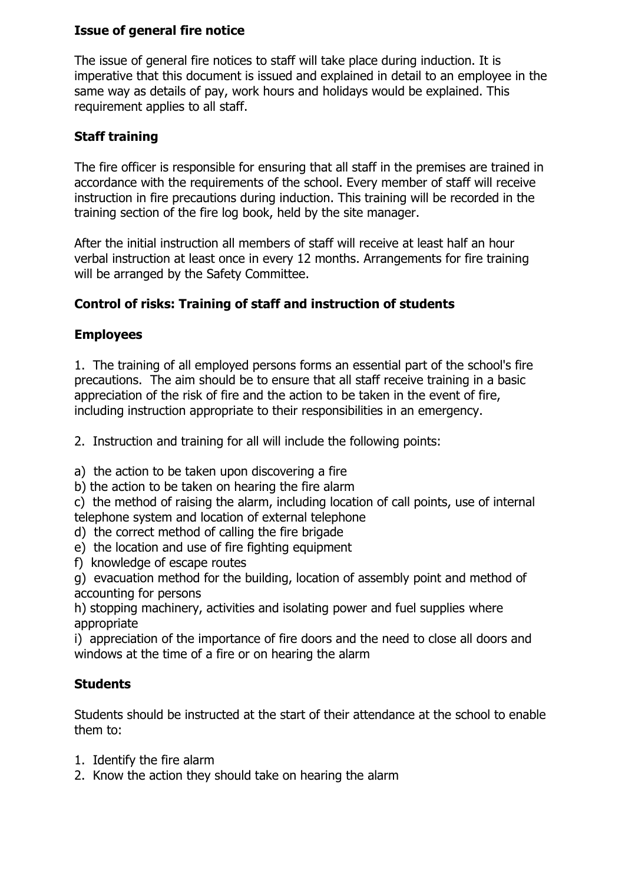## **Issue of general fire notice**

The issue of general fire notices to staff will take place during induction. It is imperative that this document is issued and explained in detail to an employee in the same way as details of pay, work hours and holidays would be explained. This requirement applies to all staff.

## **Staff training**

The fire officer is responsible for ensuring that all staff in the premises are trained in accordance with the requirements of the school. Every member of staff will receive instruction in fire precautions during induction. This training will be recorded in the training section of the fire log book, held by the site manager.

After the initial instruction all members of staff will receive at least half an hour verbal instruction at least once in every 12 months. Arrangements for fire training will be arranged by the Safety Committee.

## **Control of risks: Training of staff and instruction of students**

## **Employees**

1. The training of all employed persons forms an essential part of the school's fire precautions. The aim should be to ensure that all staff receive training in a basic appreciation of the risk of fire and the action to be taken in the event of fire, including instruction appropriate to their responsibilities in an emergency.

2. Instruction and training for all will include the following points:

a) the action to be taken upon discovering a fire

b) the action to be taken on hearing the fire alarm

c) the method of raising the alarm, including location of call points, use of internal telephone system and location of external telephone

- d) the correct method of calling the fire brigade
- e) the location and use of fire fighting equipment
- f) knowledge of escape routes

g) evacuation method for the building, location of assembly point and method of accounting for persons

h) stopping machinery, activities and isolating power and fuel supplies where appropriate

i) appreciation of the importance of fire doors and the need to close all doors and windows at the time of a fire or on hearing the alarm

#### **Students**

Students should be instructed at the start of their attendance at the school to enable them to:

- 1. Identify the fire alarm
- 2. Know the action they should take on hearing the alarm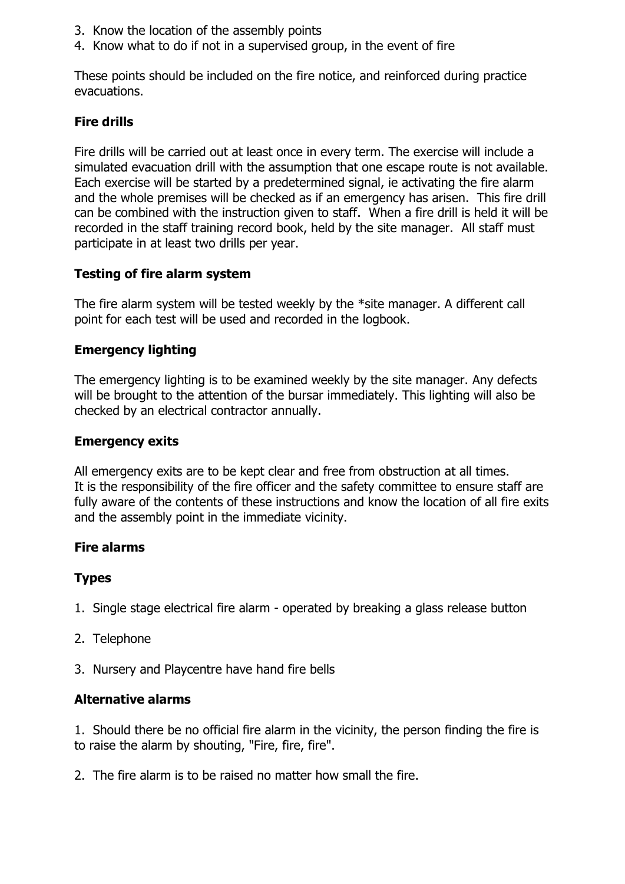- 3. Know the location of the assembly points
- 4. Know what to do if not in a supervised group, in the event of fire

These points should be included on the fire notice, and reinforced during practice evacuations.

## **Fire drills**

Fire drills will be carried out at least once in every term. The exercise will include a simulated evacuation drill with the assumption that one escape route is not available. Each exercise will be started by a predetermined signal, ie activating the fire alarm and the whole premises will be checked as if an emergency has arisen. This fire drill can be combined with the instruction given to staff. When a fire drill is held it will be recorded in the staff training record book, held by the site manager. All staff must participate in at least two drills per year.

## **Testing of fire alarm system**

The fire alarm system will be tested weekly by the \*site manager. A different call point for each test will be used and recorded in the logbook.

## **Emergency lighting**

The emergency lighting is to be examined weekly by the site manager. Any defects will be brought to the attention of the bursar immediately. This lighting will also be checked by an electrical contractor annually.

#### **Emergency exits**

All emergency exits are to be kept clear and free from obstruction at all times. It is the responsibility of the fire officer and the safety committee to ensure staff are fully aware of the contents of these instructions and know the location of all fire exits and the assembly point in the immediate vicinity.

#### **Fire alarms**

#### **Types**

- 1. Single stage electrical fire alarm operated by breaking a glass release button
- 2. Telephone
- 3. Nursery and Playcentre have hand fire bells

#### **Alternative alarms**

1. Should there be no official fire alarm in the vicinity, the person finding the fire is to raise the alarm by shouting, "Fire, fire, fire".

2. The fire alarm is to be raised no matter how small the fire.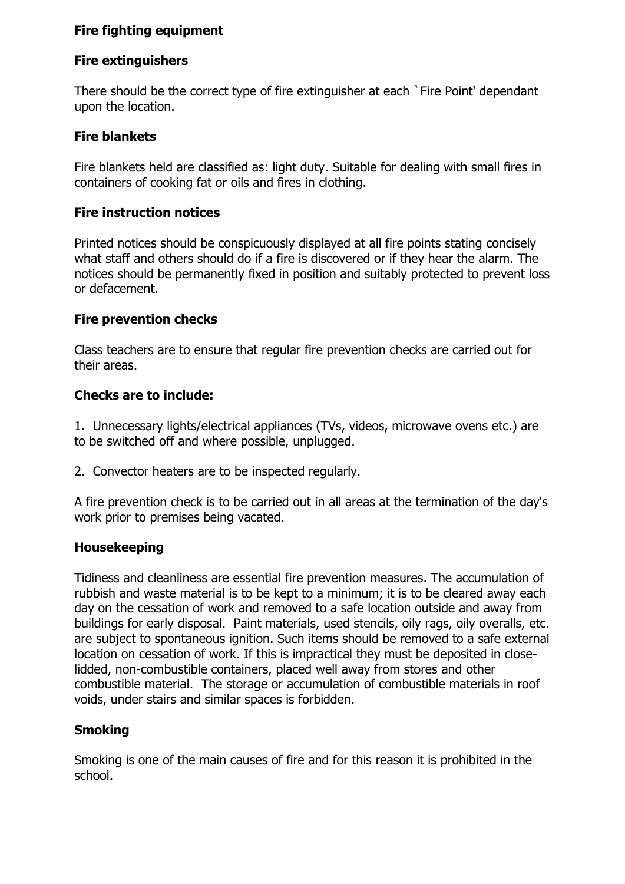## **Fire fighting equipment**

## **Fire extinguishers**

There should be the correct type of fire extinguisher at each `Fire Point' dependant upon the location.

## **Fire blankets**

Fire blankets held are classified as: light duty. Suitable for dealing with small fires in containers of cooking fat or oils and fires in clothing.

## **Fire instruction notices**

Printed notices should be conspicuously displayed at all fire points stating concisely what staff and others should do if a fire is discovered or if they hear the alarm. The notices should be permanently fixed in position and suitably protected to prevent loss or defacement.

## **Fire prevention checks**

Class teachers are to ensure that regular fire prevention checks are carried out for their areas.

## **Checks are to include:**

1. Unnecessary lights/electrical appliances (TVs, videos, microwave ovens etc.) are to be switched off and where possible, unplugged.

2. Convector heaters are to be inspected regularly.

A fire prevention check is to be carried out in all areas at the termination of the day's work prior to premises being vacated.

#### **Housekeeping**

Tidiness and cleanliness are essential fire prevention measures. The accumulation of rubbish and waste material is to be kept to a minimum; it is to be cleared away each day on the cessation of work and removed to a safe location outside and away from buildings for early disposal. Paint materials, used stencils, oily rags, oily overalls, etc. are subject to spontaneous ignition. Such items should be removed to a safe external location on cessation of work. If this is impractical they must be deposited in closelidded, non-combustible containers, placed well away from stores and other combustible material. The storage or accumulation of combustible materials in roof voids, under stairs and similar spaces is forbidden.

## **Smoking**

Smoking is one of the main causes of fire and for this reason it is prohibited in the school.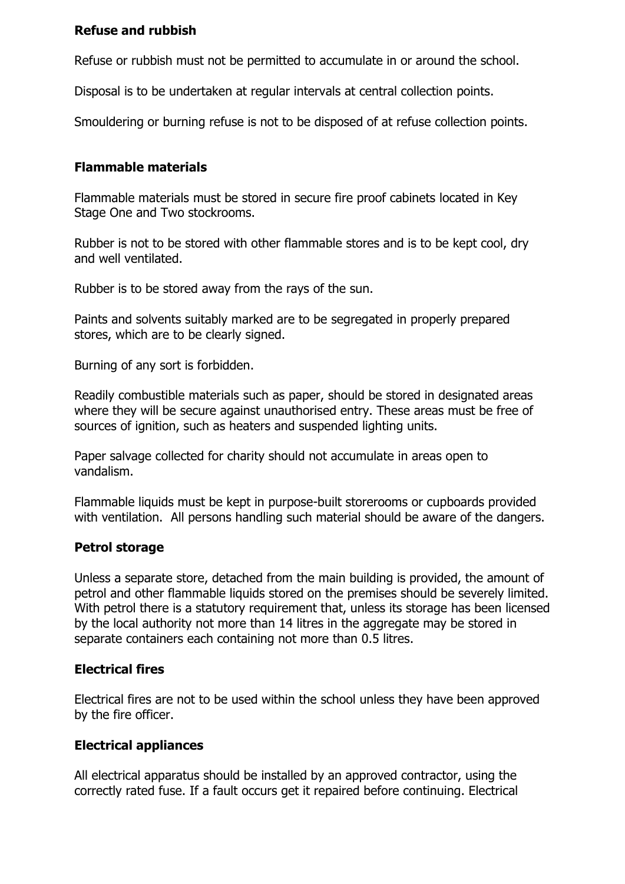#### **Refuse and rubbish**

Refuse or rubbish must not be permitted to accumulate in or around the school.

Disposal is to be undertaken at regular intervals at central collection points.

Smouldering or burning refuse is not to be disposed of at refuse collection points.

## **Flammable materials**

Flammable materials must be stored in secure fire proof cabinets located in Key Stage One and Two stockrooms.

Rubber is not to be stored with other flammable stores and is to be kept cool, dry and well ventilated.

Rubber is to be stored away from the rays of the sun.

Paints and solvents suitably marked are to be segregated in properly prepared stores, which are to be clearly signed.

Burning of any sort is forbidden.

Readily combustible materials such as paper, should be stored in designated areas where they will be secure against unauthorised entry. These areas must be free of sources of ignition, such as heaters and suspended lighting units.

Paper salvage collected for charity should not accumulate in areas open to vandalism.

Flammable liquids must be kept in purpose-built storerooms or cupboards provided with ventilation. All persons handling such material should be aware of the dangers.

## **Petrol storage**

Unless a separate store, detached from the main building is provided, the amount of petrol and other flammable liquids stored on the premises should be severely limited. With petrol there is a statutory requirement that, unless its storage has been licensed by the local authority not more than 14 litres in the aggregate may be stored in separate containers each containing not more than 0.5 litres.

## **Electrical fires**

Electrical fires are not to be used within the school unless they have been approved by the fire officer.

## **Electrical appliances**

All electrical apparatus should be installed by an approved contractor, using the correctly rated fuse. If a fault occurs get it repaired before continuing. Electrical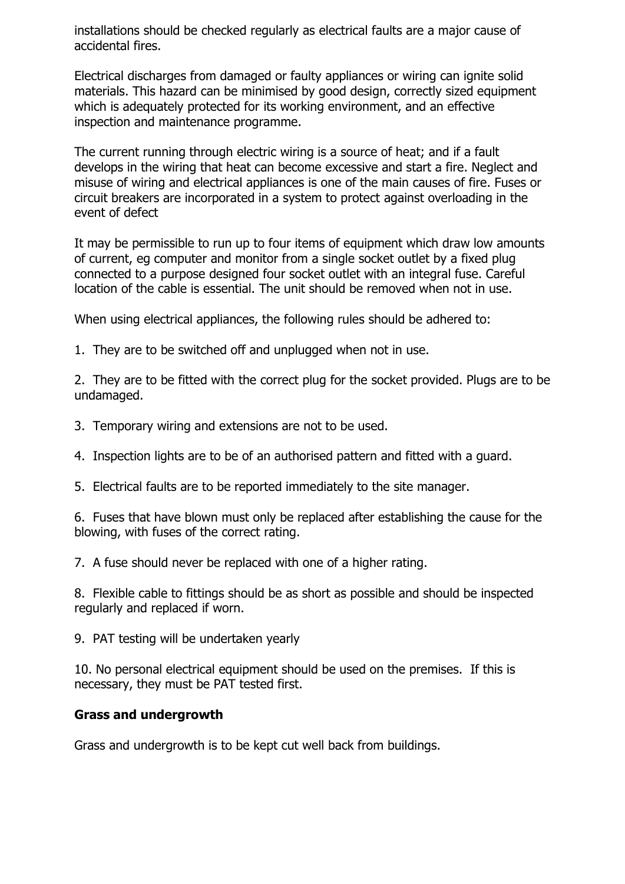installations should be checked regularly as electrical faults are a major cause of accidental fires.

Electrical discharges from damaged or faulty appliances or wiring can ignite solid materials. This hazard can be minimised by good design, correctly sized equipment which is adequately protected for its working environment, and an effective inspection and maintenance programme.

The current running through electric wiring is a source of heat; and if a fault develops in the wiring that heat can become excessive and start a fire. Neglect and misuse of wiring and electrical appliances is one of the main causes of fire. Fuses or circuit breakers are incorporated in a system to protect against overloading in the event of defect

It may be permissible to run up to four items of equipment which draw low amounts of current, eg computer and monitor from a single socket outlet by a fixed plug connected to a purpose designed four socket outlet with an integral fuse. Careful location of the cable is essential. The unit should be removed when not in use.

When using electrical appliances, the following rules should be adhered to:

1. They are to be switched off and unplugged when not in use.

2. They are to be fitted with the correct plug for the socket provided. Plugs are to be undamaged.

3. Temporary wiring and extensions are not to be used.

4. Inspection lights are to be of an authorised pattern and fitted with a guard.

5. Electrical faults are to be reported immediately to the site manager.

6. Fuses that have blown must only be replaced after establishing the cause for the blowing, with fuses of the correct rating.

7. A fuse should never be replaced with one of a higher rating.

8. Flexible cable to fittings should be as short as possible and should be inspected regularly and replaced if worn.

9. PAT testing will be undertaken yearly

10. No personal electrical equipment should be used on the premises. If this is necessary, they must be PAT tested first.

#### **Grass and undergrowth**

Grass and undergrowth is to be kept cut well back from buildings.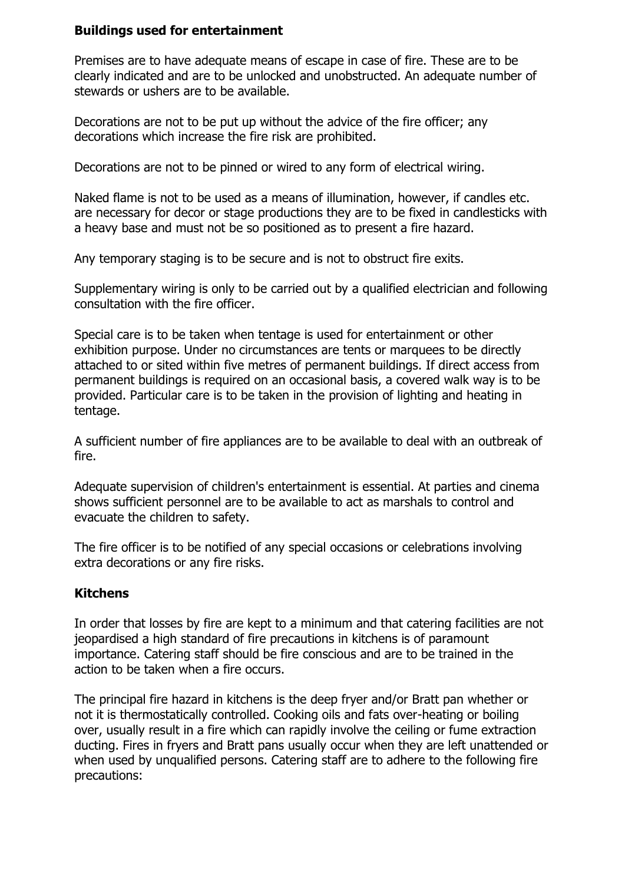#### **Buildings used for entertainment**

Premises are to have adequate means of escape in case of fire. These are to be clearly indicated and are to be unlocked and unobstructed. An adequate number of stewards or ushers are to be available.

Decorations are not to be put up without the advice of the fire officer; any decorations which increase the fire risk are prohibited.

Decorations are not to be pinned or wired to any form of electrical wiring.

Naked flame is not to be used as a means of illumination, however, if candles etc. are necessary for decor or stage productions they are to be fixed in candlesticks with a heavy base and must not be so positioned as to present a fire hazard.

Any temporary staging is to be secure and is not to obstruct fire exits.

Supplementary wiring is only to be carried out by a qualified electrician and following consultation with the fire officer.

Special care is to be taken when tentage is used for entertainment or other exhibition purpose. Under no circumstances are tents or marquees to be directly attached to or sited within five metres of permanent buildings. If direct access from permanent buildings is required on an occasional basis, a covered walk way is to be provided. Particular care is to be taken in the provision of lighting and heating in tentage.

A sufficient number of fire appliances are to be available to deal with an outbreak of fire.

Adequate supervision of children's entertainment is essential. At parties and cinema shows sufficient personnel are to be available to act as marshals to control and evacuate the children to safety.

The fire officer is to be notified of any special occasions or celebrations involving extra decorations or any fire risks.

#### **Kitchens**

In order that losses by fire are kept to a minimum and that catering facilities are not jeopardised a high standard of fire precautions in kitchens is of paramount importance. Catering staff should be fire conscious and are to be trained in the action to be taken when a fire occurs.

The principal fire hazard in kitchens is the deep fryer and/or Bratt pan whether or not it is thermostatically controlled. Cooking oils and fats over-heating or boiling over, usually result in a fire which can rapidly involve the ceiling or fume extraction ducting. Fires in fryers and Bratt pans usually occur when they are left unattended or when used by unqualified persons. Catering staff are to adhere to the following fire precautions: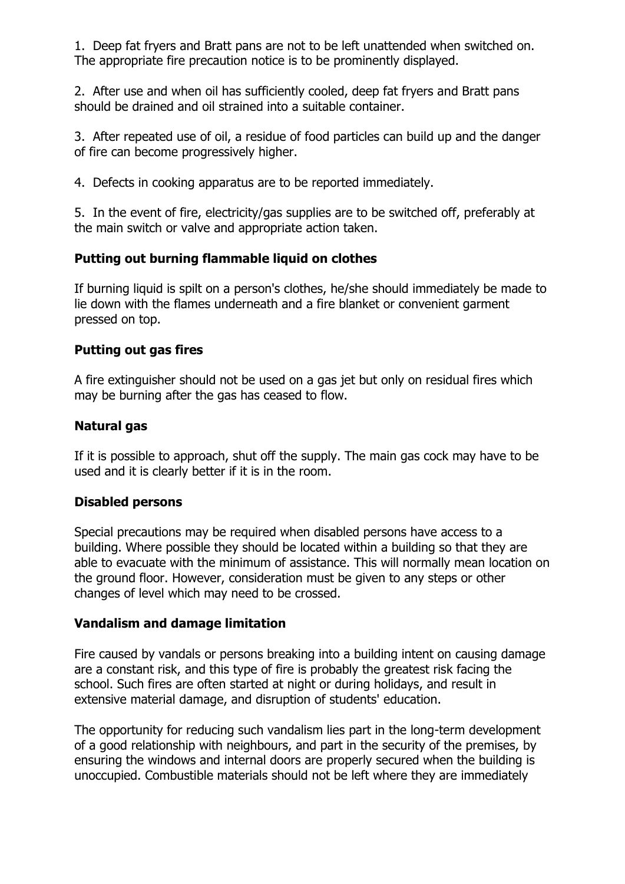1. Deep fat fryers and Bratt pans are not to be left unattended when switched on. The appropriate fire precaution notice is to be prominently displayed.

2. After use and when oil has sufficiently cooled, deep fat fryers and Bratt pans should be drained and oil strained into a suitable container.

3. After repeated use of oil, a residue of food particles can build up and the danger of fire can become progressively higher.

4. Defects in cooking apparatus are to be reported immediately.

5. In the event of fire, electricity/gas supplies are to be switched off, preferably at the main switch or valve and appropriate action taken.

#### **Putting out burning flammable liquid on clothes**

If burning liquid is spilt on a person's clothes, he/she should immediately be made to lie down with the flames underneath and a fire blanket or convenient garment pressed on top.

#### **Putting out gas fires**

A fire extinguisher should not be used on a gas jet but only on residual fires which may be burning after the gas has ceased to flow.

#### **Natural gas**

If it is possible to approach, shut off the supply. The main gas cock may have to be used and it is clearly better if it is in the room.

#### **Disabled persons**

Special precautions may be required when disabled persons have access to a building. Where possible they should be located within a building so that they are able to evacuate with the minimum of assistance. This will normally mean location on the ground floor. However, consideration must be given to any steps or other changes of level which may need to be crossed.

#### **Vandalism and damage limitation**

Fire caused by vandals or persons breaking into a building intent on causing damage are a constant risk, and this type of fire is probably the greatest risk facing the school. Such fires are often started at night or during holidays, and result in extensive material damage, and disruption of students' education.

The opportunity for reducing such vandalism lies part in the long-term development of a good relationship with neighbours, and part in the security of the premises, by ensuring the windows and internal doors are properly secured when the building is unoccupied. Combustible materials should not be left where they are immediately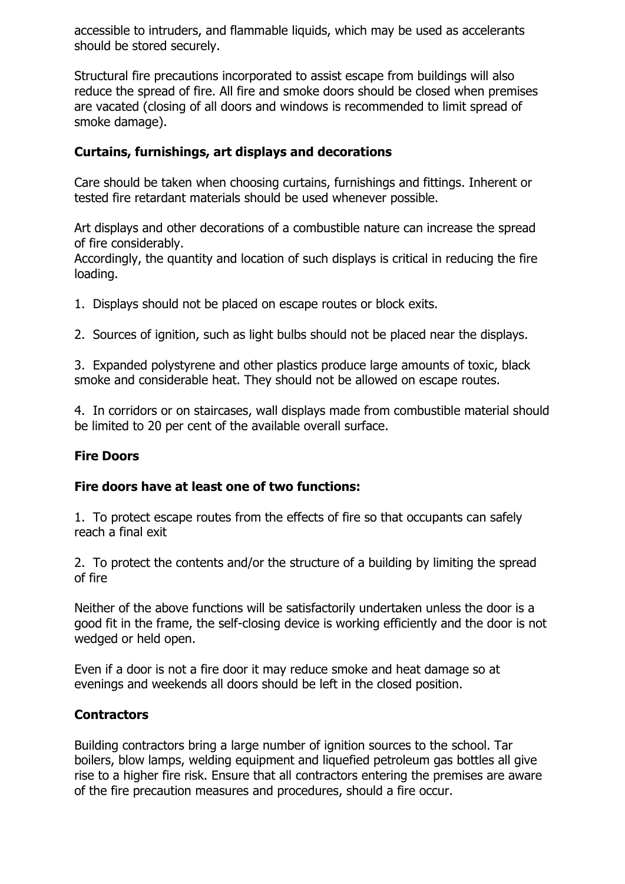accessible to intruders, and flammable liquids, which may be used as accelerants should be stored securely.

Structural fire precautions incorporated to assist escape from buildings will also reduce the spread of fire. All fire and smoke doors should be closed when premises are vacated (closing of all doors and windows is recommended to limit spread of smoke damage).

## **Curtains, furnishings, art displays and decorations**

Care should be taken when choosing curtains, furnishings and fittings. Inherent or tested fire retardant materials should be used whenever possible.

Art displays and other decorations of a combustible nature can increase the spread of fire considerably.

Accordingly, the quantity and location of such displays is critical in reducing the fire loading.

1. Displays should not be placed on escape routes or block exits.

2. Sources of ignition, such as light bulbs should not be placed near the displays.

3. Expanded polystyrene and other plastics produce large amounts of toxic, black smoke and considerable heat. They should not be allowed on escape routes.

4. In corridors or on staircases, wall displays made from combustible material should be limited to 20 per cent of the available overall surface.

#### **Fire Doors**

#### **Fire doors have at least one of two functions:**

1. To protect escape routes from the effects of fire so that occupants can safely reach a final exit

2. To protect the contents and/or the structure of a building by limiting the spread of fire

Neither of the above functions will be satisfactorily undertaken unless the door is a good fit in the frame, the self-closing device is working efficiently and the door is not wedged or held open.

Even if a door is not a fire door it may reduce smoke and heat damage so at evenings and weekends all doors should be left in the closed position.

#### **Contractors**

Building contractors bring a large number of ignition sources to the school. Tar boilers, blow lamps, welding equipment and liquefied petroleum gas bottles all give rise to a higher fire risk. Ensure that all contractors entering the premises are aware of the fire precaution measures and procedures, should a fire occur.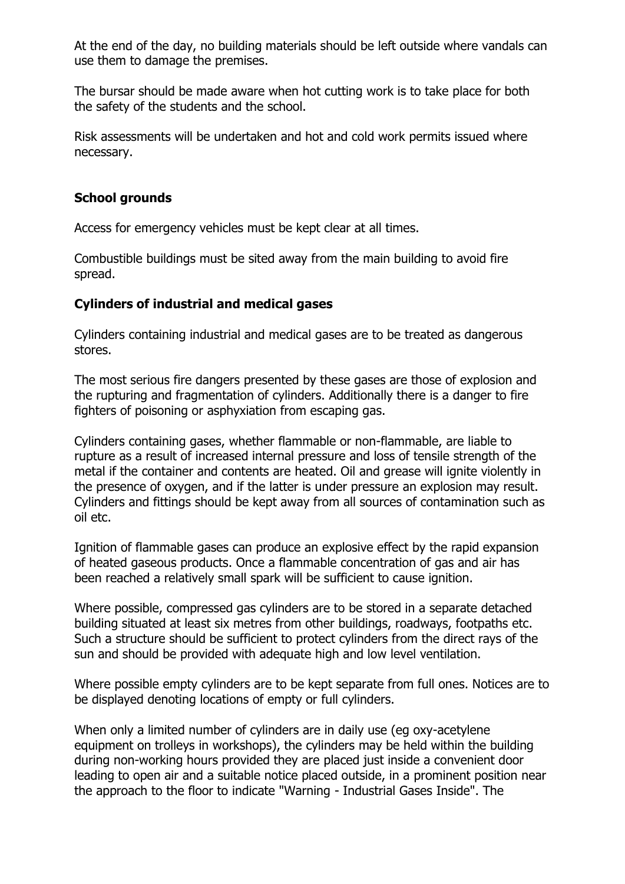At the end of the day, no building materials should be left outside where vandals can use them to damage the premises.

The bursar should be made aware when hot cutting work is to take place for both the safety of the students and the school.

Risk assessments will be undertaken and hot and cold work permits issued where necessary.

#### **School grounds**

Access for emergency vehicles must be kept clear at all times.

Combustible buildings must be sited away from the main building to avoid fire spread.

#### **Cylinders of industrial and medical gases**

Cylinders containing industrial and medical gases are to be treated as dangerous stores.

The most serious fire dangers presented by these gases are those of explosion and the rupturing and fragmentation of cylinders. Additionally there is a danger to fire fighters of poisoning or asphyxiation from escaping gas.

Cylinders containing gases, whether flammable or non-flammable, are liable to rupture as a result of increased internal pressure and loss of tensile strength of the metal if the container and contents are heated. Oil and grease will ignite violently in the presence of oxygen, and if the latter is under pressure an explosion may result. Cylinders and fittings should be kept away from all sources of contamination such as oil etc.

Ignition of flammable gases can produce an explosive effect by the rapid expansion of heated gaseous products. Once a flammable concentration of gas and air has been reached a relatively small spark will be sufficient to cause ignition.

Where possible, compressed gas cylinders are to be stored in a separate detached building situated at least six metres from other buildings, roadways, footpaths etc. Such a structure should be sufficient to protect cylinders from the direct rays of the sun and should be provided with adequate high and low level ventilation.

Where possible empty cylinders are to be kept separate from full ones. Notices are to be displayed denoting locations of empty or full cylinders.

When only a limited number of cylinders are in daily use (eg oxy-acetylene equipment on trolleys in workshops), the cylinders may be held within the building during non-working hours provided they are placed just inside a convenient door leading to open air and a suitable notice placed outside, in a prominent position near the approach to the floor to indicate "Warning - Industrial Gases Inside". The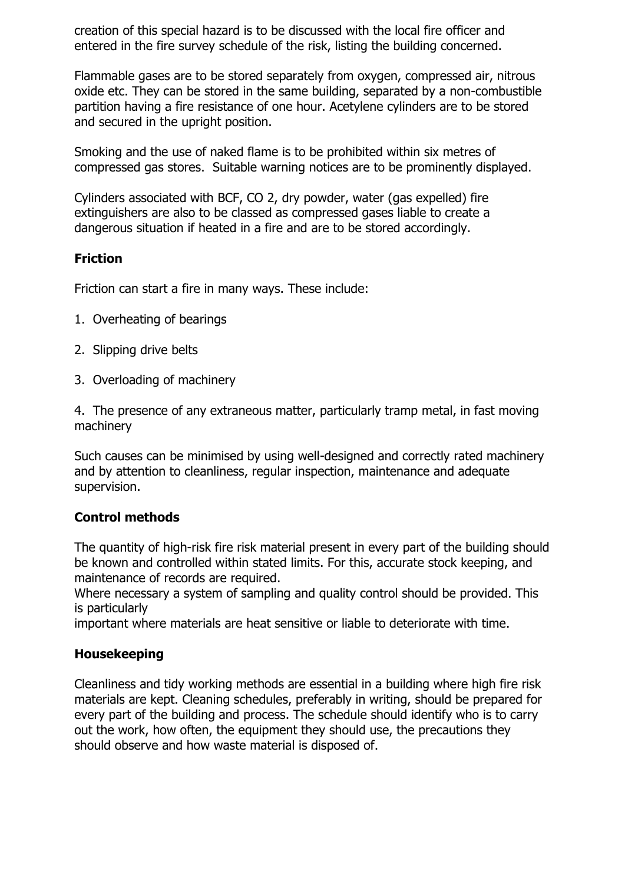creation of this special hazard is to be discussed with the local fire officer and entered in the fire survey schedule of the risk, listing the building concerned.

Flammable gases are to be stored separately from oxygen, compressed air, nitrous oxide etc. They can be stored in the same building, separated by a non-combustible partition having a fire resistance of one hour. Acetylene cylinders are to be stored and secured in the upright position.

Smoking and the use of naked flame is to be prohibited within six metres of compressed gas stores. Suitable warning notices are to be prominently displayed.

Cylinders associated with BCF, CO 2, dry powder, water (gas expelled) fire extinguishers are also to be classed as compressed gases liable to create a dangerous situation if heated in a fire and are to be stored accordingly.

## **Friction**

Friction can start a fire in many ways. These include:

- 1. Overheating of bearings
- 2. Slipping drive belts
- 3. Overloading of machinery

4. The presence of any extraneous matter, particularly tramp metal, in fast moving machinery

Such causes can be minimised by using well-designed and correctly rated machinery and by attention to cleanliness, regular inspection, maintenance and adequate supervision.

#### **Control methods**

The quantity of high-risk fire risk material present in every part of the building should be known and controlled within stated limits. For this, accurate stock keeping, and maintenance of records are required.

Where necessary a system of sampling and quality control should be provided. This is particularly

important where materials are heat sensitive or liable to deteriorate with time.

#### **Housekeeping**

Cleanliness and tidy working methods are essential in a building where high fire risk materials are kept. Cleaning schedules, preferably in writing, should be prepared for every part of the building and process. The schedule should identify who is to carry out the work, how often, the equipment they should use, the precautions they should observe and how waste material is disposed of.